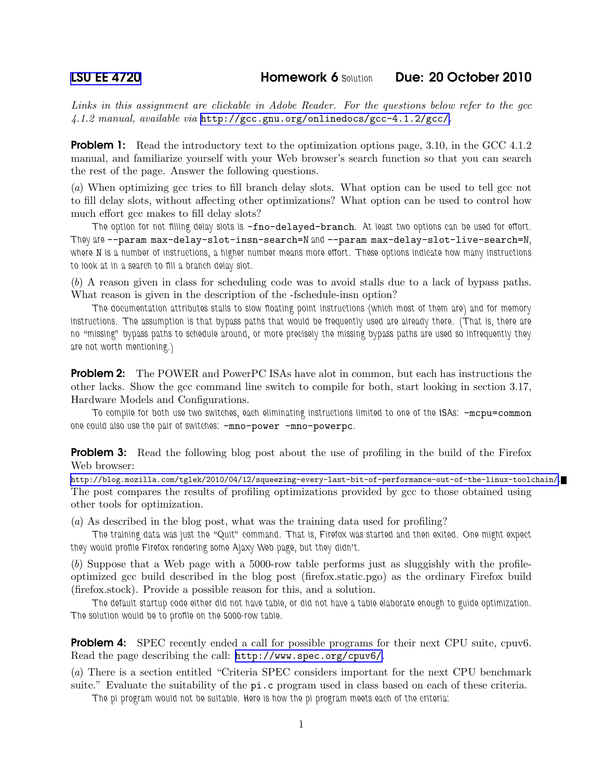Links in this assignment are clickable in Adobe Reader. For the questions below refer to the gcc 4.1.2 manual, available via <http://gcc.gnu.org/onlinedocs/gcc-4.1.2/gcc/>.

**Problem 1:** Read the introductory text to the optimization options page, 3.10, in the GCC 4.1.2 manual, and familiarize yourself with your Web browser's search function so that you can search the rest of the page. Answer the following questions.

(a) When optimizing gcc tries to fill branch delay slots. What option can be used to tell gcc not to fill delay slots, without affecting other optimizations? What option can be used to control how much effort gcc makes to fill delay slots?

The option for not filling delay slots is -fno-delayed-branch. At least two options can be used for effort. They are --param max-delay-slot-insn-search=N and --param max-delay-slot-live-search=N, where N is a number of instructions, a higher number means more effort. These options indicate how many instructions to look at in a search to fill a branch delay slot.

(b) A reason given in class for scheduling code was to avoid stalls due to a lack of bypass paths. What reason is given in the description of the -fschedule-insn option?

The documentation attributes stalls to slow floating point instructions (which most of them are) and for memory instructions. The assumption is that bypass paths that would be frequently used are already there. (That is, there are no "missing" bypass paths to schedule around, or more precisely the missing bypass paths are used so infrequently they are not worth mentioning.)

Problem 2: The POWER and PowerPC ISAs have alot in common, but each has instructions the other lacks. Show the gcc command line switch to compile for both, start looking in section 3.17, Hardware Models and Configurations.

To compile for both use two switches, each eliminating instructions limited to one of the ISAs:  $-\text{mcpu}=\text{common}$ one could also use the pair of switches:  $-mno-power$  -mno-powerpc.

**Problem 3:** Read the following blog post about the use of profiling in the build of the Firefox Web browser:

<http://blog.mozilla.com/tglek/2010/04/12/squeezing-every-last-bit-of-performance-out-of-the-linux-toolchain/>. The post compares the results of profiling optimizations provided by gcc to those obtained using other tools for optimization.

(a) As described in the blog post, what was the training data used for profiling?

The training data was just the "Quit" command. That is, Firefox was started and then exited. One might expect they would profile Firefox rendering some Ajaxy Web page, but they didn't.

(b) Suppose that a Web page with a 5000-row table performs just as sluggishly with the profileoptimized gcc build described in the blog post (firefox.static.pgo) as the ordinary Firefox build (firefox.stock). Provide a possible reason for this, and a solution.

The default startup code either did not have table, or did not have a table elaborate enough to guide optimization. The solution would be to profile on the 5000-row table.

**Problem 4:** SPEC recently ended a call for possible programs for their next CPU suite, cpuv6. Read the page describing the call: <http://www.spec.org/cpuv6/>.

(a) There is a section entitled "Criteria SPEC considers important for the next CPU benchmark suite." Evaluate the suitability of the pi.c program used in class based on each of these criteria.

The pi program would not be suitable. Here is how the pi program meets each of the criteria: